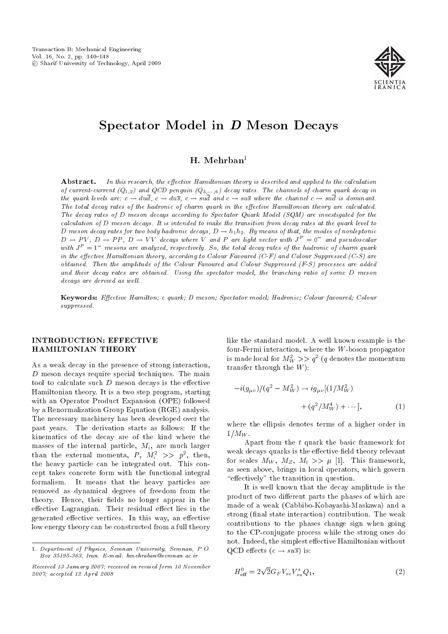

## Spectator Model in D Meson Decays

### $H.$  Mehrban<sup>1</sup>

**Abstract.** In this research, the effective Hamiltonian theory is described and applied to the calculation of current-current  $(Q_{1,2})$  and  $QCD$  penguin  $(Q_{3,\cdots,6})$  decay rates. The channels of charm quark decay in the quark levels are:  $c \to du\overline{d}$ ,  $c \to du\overline{s}$ ,  $c \to su\overline{d}$  and  $c \to su\overline{s}$  where the channel  $c \to su\overline{d}$  is dominant. The total decay rates of the hadronic of charm quark in the effective Hamiltonian theory are calculated. The decay rates of D meson decays according to Spectator Quark Model (SQM) are investigated for the calculation of D meson decays. It is intended to make the transition from decay rates at the quark level to D meson decay rates for two body hadronic decays,  $D \to h_1h_2$ . By means of that, the modes of nonleptonic  $D \to PV, D \to PP, D \to VV$  decays where V and P are light vector with  $J^P = 0^-$  and pseudoscalar with  $J^P=1^-$  mesons are analyzed, respectively. So, the total decay rates of the hadronic of charm quark in the effective Hamiltonian theory, according to Colour Favoured  $(C-F)$  and Colour Suppressed  $(C-S)$  are obtained. Then the amplitude of the Colour Favoured and Colour Suppressed (F-S) processes are added and their decay rates are obtained. Using the spectator model, the branching ratio of some D meson decays are derived as well.

Keywords: Effective Hamilton; c quark; D meson; Spectator model; Hadronic; Colour favoured; Colour suppressed.

#### INTRODUCTION: EFFECTIVE HAMILTONIAN THEORY

As a weak decay in the presence of strong interaction,  $D$  meson decays require special techniques. The main tool to calculate such  $D$  meson decays is the effective Hamiltonian theory. It is a two step program, starting with an Operator Product Expansion (OPE) followed by a Renormalization Group Equation (RGE) analysis. The necessary machinery has been developed over the past years. The derivation starts as follows: If the kinematics of the decay are of the kind where the masses of the internal particle,  $M_i$ , are much larger than the external momenta,  $P$ ,  $M_i^2 \>>> p^2$ , then, the heavy particle can be integrated out. This concept takes concrete form with the functional integral formalism. It means that the heavy particles are removed as dynamical degrees of freedom from the theory. Hence, their fields no longer appear in the effective Lagrangian. Their residual effect lies in the generated effective vertices. In this way, an effective low energy theory can be constructed from a full theory like the standard model. A well known example is the four-Fermi interaction, where the W-boson propagator is made local for  $M_W^2 >> q^2$  (q denotes the momentum transfer through the  $W$ ):

$$
-i(g_{\mu\nu})/(q^2 - M_W^2) \to ig_{\mu\nu}[(1/M_W^2) + (q^2/M_W^4) + \cdots],
$$
\n(1)

where the ellipsis denotes terms of a higher order in  $1/M_W$ .

Apart from the t quark the basic framework for weak decays quarks is the effective field theory relevant for scales  $M_W$ ,  $M_Z$ ,  $M_t$  >>  $\mu$  [1]. This framework, as seen above, brings in local operators, which govern "effectively" the transition in question.

It is well known that the decay amplitude is the product of two different parts the phases of which are made of a weak (Cabbibo-Kobayashi-Maskawa) and a strong (final state interaction) contribution. The weak contributions to the phases change sign when going to the CP-conjugate process while the strong ones do not. Indeed, the simplest effective Hamiltonian without QCD effects  $(c \rightarrow su\overline{s})$  is:

$$
H_{\text{eff}}^{0} = 2\sqrt{2}G_{F}V_{sc}V_{su}^{*}Q_{1}, \qquad (2)
$$

<sup>1.</sup> Department of Physics, Semnan University, Semnan, P.O. Box 35195-363, Iran. E-mail: hmehraban@semnan.ac.ir

Received 13 January 2007; received in revised form 10 November 2007; accepted 12 April 2008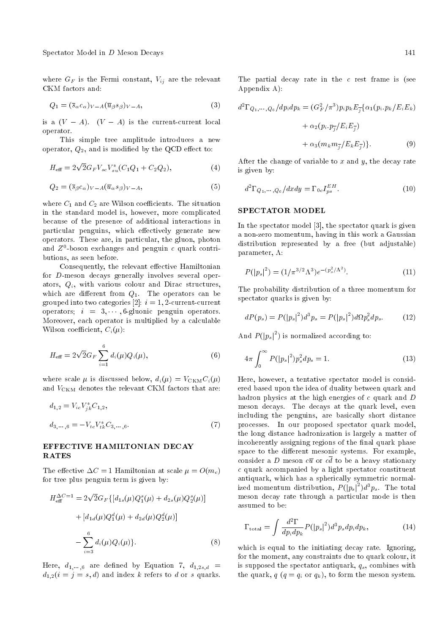where  $G_F$  is the Fermi constant,  $V_{ij}$  are the relevant CKM factors and:

$$
Q_1 = (\overline{s}_{\alpha} c_{\alpha})_{V-A} (\overline{u}_{\beta} s_{\beta})_{V-A},
$$
\n(3)

is a  $(V - A)$ .  $(V - A)$  is the current-current local operator.

This simple tree amplitude introduces a new operator,  $Q_2$ , and is modified by the QCD effect to:

$$
H_{\text{eff}} = 2\sqrt{2}G_F V_{sc} V_{su}^*(C_1 Q_1 + C_2 Q_2), \tag{4}
$$

$$
Q_2 = (\overline{s}_{\beta} c_{\alpha})_{V-A} (\overline{u}_{\alpha} s_{\beta})_{V-A}, \qquad (5)
$$

where  $C_1$  and  $C_2$  are Wilson coefficients. The situation in the standard model is, however, more complicated because of the presence of additional interactions in particular penguins, which effectively generate new operators. These are, in particular, the gluon, photon and  $Z^0$ -boson exchanges and penguin  $c$  quark contributions, as seen before.

Consequently, the relevant effective Hamiltonian for D-meson decays generally involves several operators,  $Q_i$ , with various colour and Dirac structures, which are different from  $Q_1$ . The operators can be grouped into two categories [2]:  $i = 1, 2$ -current-current operators;  $i = 3, \dots, 6$ -gluonic penguin operators. Moreover, each operator is multiplied by a calculable Wilson coefficient,  $C_i(\mu)$ :

$$
H_{\text{eff}} = 2\sqrt{2}G_F \sum_{i=1}^{6} d_i(\mu) Q_i(\mu), \qquad (6)
$$

where scale  $\mu$  is discussed below,  $d_i(\mu) = V_{\text{CKM}}C_i(\mu)$ and  $V_{\text{CKM}}$  denotes the relevant CKM factors that are:

$$
d_{1,2} = V_{ic}V_{jk}^{*}C_{1,2},
$$
  

$$
d_{3,\cdots,6} = -V_{tc}V_{tk}^{*}C_{3,\cdots,6}.
$$
  
(7)

#### EFFECTIVE HAMILTONIAN DECAY RATES

The effective  $\Delta C = 1$  Hamiltonian at scale  $\mu = O(m_c)$ for tree plus penguin term is given by:

$$
H_{\text{eff}}^{\Delta C=1} = 2\sqrt{2}G_F\{[d_{1s}(\mu)Q_1^s(\mu) + d_{2s}(\mu)Q_2^s(\mu)] + [d_{1d}(\mu)Q_1^d(\mu) + d_{2d}(\mu)Q_2^d(\mu)] - \sum_{i=3}^6 d_i(\mu)Q_i(\mu)\}.
$$
\n(8)

Here,  $d_1, \ldots, d_n$  are defined by Equation 7,  $d_{1,2s,d}$  =  $d_{1,2}(i = j = s, d)$  and index k refers to d or s quarks. The partial decay rate in the  $c$  rest frame is (see Appendix A):

$$
d^2\Gamma_{Q_1,\dots,Q_6}/dp_i dp_k = (G_F^2/\pi^3)p_i p_k E_{\overline{j}}\{\alpha_1(p_i.p_k/E_iE_k) + \alpha_2(p_i.p_{\overline{j}}/E_iE_{\overline{j}}) + \alpha_3(m_k m_{\overline{j}}/E_kE_{\overline{j}})\}.
$$
\n(9)

After the change of variable to  $x$  and  $y$ , the decay rate is given by:

$$
d^2\Gamma_{Q_1,\dots,Q_6}/dxdy = \Gamma_{0c}I_{ps}^{EH}.
$$
\n(10)

#### SPECTATOR MODEL

In the spectator model [3], the spectator quark is given a non-zero momentum, having in this work a Gaussian distribution represented by a free (but adjustable) parameter,  $\Lambda$ :

$$
P(|p_s|^2) = (1/\pi^{3/2} \Lambda^3) e^{-(p_s^2/\Lambda^2)}.
$$
 (11)

The probability distribution of a three momentum for spectator quarks is given by:

$$
dP(p_s) = P(|p_s|^2)d^3p_s = P(|p_s|^2)d\Omega p_s^2 dp_s.
$$
 (12)

And  $P(|p_s|^2)$  is normalized according to:

$$
4\pi \int_0^\infty P(|p_s|^2) p_s^2 dp_s = 1.
$$
 (13)

Here, however, a tentative spectator model is considered based upon the idea of duality between quark and hadron physics at the high energies of c quark and D meson decays. The decays at the quark level, even including the penguins, are basically short distance processes. In our proposed spectator quark model, the long distance hadronization is largely a matter of incoherently assigning regions of the final quark phase space to the different mesonic systems. For example, consider a D meson  $c\overline{u}$  or  $c\overline{d}$  to be a heavy stationary c quark accompanied by a light spectator constituent antiquark, which has a spherically symmetric normalized momentum distribution,  $P(|p_s|^2)d^3p_s$ . The total meson decay rate through a particular mode is then assumed to be:

$$
\Gamma_{\text{total}} = \int \frac{d^2 \Gamma}{dp_i dp_k} P(|p_s|^2) d^3 p_s dp_i dp_k, \qquad (14)
$$

which is equal to the initiating decay rate. Ignoring, for the moment, any constraints due to quark colour, it is supposed the spectator antiquark,  $q_s$ , combines with the quark,  $q$  ( $q = q_i$  or  $q_k$ ), to form the meson system.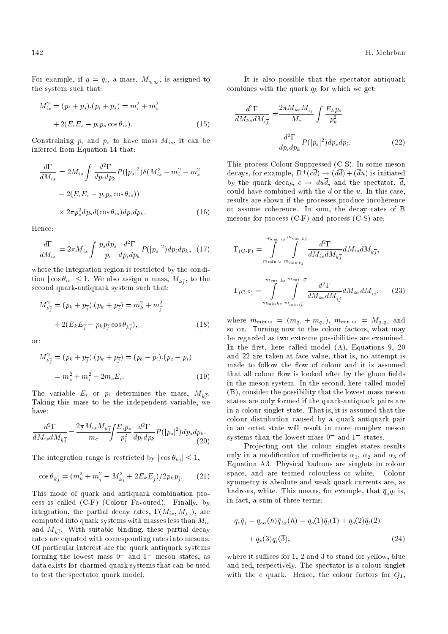For example, if  $q = q_i$ , a mass,  $M_{q_i q_s}$ , is assigned to the system such that:

$$
M_{is}^{2} = (p_{i} + p_{s}).(p_{i} + p_{s}) = m_{i}^{2} + m_{s}^{2}
$$

$$
+ 2(E_{i}E_{s} - p_{i}p_{s}\cos\theta_{is}).
$$
 (15)

Constraining  $p_i$  and  $p_s$  to have mass  $M_{is}$ , it can be inferred from Equation 14 that:

$$
\frac{d\Gamma}{dM_{is}} = 2M_{is} \int \frac{d^2 \Gamma}{dp_i dp_k} P(|p_s|^2) \delta(M_{is}^2 - m_i^2 - m_s^2)
$$

$$
-2(E_i E_s - p_i p_s \cos \theta_{is}))
$$

$$
\times 2\pi p_s^2 dp_s d(\cos \theta_{is}) dp_i dp_k.
$$
 (16)

Hence:

$$
\frac{d\Gamma}{dM_{is}} = 2\pi M_{is} \int \frac{p_s dp_s}{p_i} \frac{d^2\Gamma}{dp_i dp_k} P(|p_s|^2) dp_i dp_k, \quad (17)
$$

where the integration region is restricted by the condition  $|\cos \theta_{is}| \leq 1$ . We also assign a mass,  $M_{k,j}$ , to the second quark-antiquark system such that:

$$
M_{k\bar{j}}^2 = (p_k + p_{\bar{j}}) \cdot (p_k + p_{\bar{j}}) = m_k^2 + m_{\bar{j}}^2
$$
  
+ 2(E\_k E\_{\bar{j}} - p\_k p\_{\bar{j}} \cos \theta\_{k\bar{j}}), (18)

or:

$$
M_{k\overline{j}}^2 = (p_k + p_{\overline{j}}) \cdot (p_k + p_{\overline{j}}) = (p_b - p_i) \cdot (p_c - p_i)
$$
  
=  $m_c^2 + m_i^2 - 2m_c E_i$ . (19)

The variable  $E_i$  or  $p_i$  determines the mass,  $M_{k,j}$ . Taking this mass to be the independent variable, we have:

$$
\frac{d^2\Gamma}{dM_{is}dM_{k\bar{j}}} = \frac{2\pi M_{is}M_{k\bar{j}}}{m_c} \int \frac{E_i p_s}{p_i^2} \frac{d^2\Gamma}{dp_i dp_k} P(|p_s|^2) dp_s dp_k.
$$
\n(20)

The integration range is restricted by  $|\cos \theta_{ki}| \leq 1$ ,

$$
\cos \theta_{k\bar{j}} = (m_k^2 + m_{\bar{j}}^2 - M_{k\bar{j}}^2 + 2E_k E_{\bar{j}})/2p_k p_{\bar{j}}.
$$
 (21)

This mode of quark and antiquark combination process is called (C-F) (Colour Favoured). Finally, by integration, the partial decay rates,  $\Gamma(M_{is}, M_{k_j^-}),$  are computed into quark systems with masses less than  $M_{is}$ and  $M_{k\overline{j}}$ . With suitable binding, these partial decay rates are equated with corresponding rates into mesons. Of particular interest are the quark antiquark systems forming the lowest mass  $0^-$  and  $1^-$  meson states, as data exists for charmed quark systems that can be used to test the spectator quark model.

It is also possible that the spectator antiquark combines with the quark  $q_k$  for which we get:

$$
\frac{d^2\Gamma}{dM_{ks}dM_{i\bar{j}}} = \frac{2\pi M_{ks}M_{i\bar{j}}}{M_c} \int \frac{E_k p_s}{p_k^2}
$$

$$
\frac{d^2\Gamma}{dp_i dp_k} P(|p_s|^2) dp_s dp_i.
$$
(22)

This process Colour Suppressed (C-S). In some meson decays, for example,  $D^+(c\overline{d}) \rightarrow (d\overline{d}) + (\overline{d}u)$  is initiated by the quark decay,  $c \rightarrow du\overline{d}$ , and the spectator,  $\overline{d}$ , could have combined with the  $d$  or the  $u$ . In this case, results are shown if the processes produce incoherence or assume coherence. In sum, the decay rates of B mesons for process (C-F) and process (C-S) are:

$$
\Gamma_{\text{(C-F)}} = \int_{m_{\text{min}}}^{m_{\text{cut}}} \int_{s}^{s} \frac{d^2 \Gamma}{d M_{is} d M_{k\bar{j}}} d M_{is} d M_{k\bar{j}},
$$
\n
$$
\Gamma_{\text{(C-S)}} = \int_{m_{\text{min}} k s}^{m_{\text{cut}} k s} \int_{m_{\text{min}} i\bar{j}}^{m_{\text{cut}} i\bar{j}} \frac{d^2 \Gamma}{d M_{ks} d M_{i\bar{j}}} d M_{ks} d M_{i\bar{j}}.
$$
\n(23)

where  $m_{\min i s} = (m_{q_i} + m_{q_s}), m_{\text{cut } i s} = M_{q_i q_s}$  and so on. Turning now to the colour factors, what may be regarded as two extreme possibilities are examined. In the first, here called model  $(A)$ , Equations 9, 20 and 22 are taken at face value, that is, no attempt is made to follow the flow of colour and it is assumed that all colour flow is looked after by the gluon fields in the meson system. In the second, here called model (B), consider the possibility that the lowest mass meson states are only formed if the quark-antiquark pairs are in a colour singlet state. That is, it is assumed that the colour distribution caused by a quark-antiquark pair in an octet state will result in more complex meson systems than the lowest mass  $0^-$  and  $1^-$  states.

Projecting out the colour singlet states results only in a modification of coefficients  $\alpha_1, \alpha_2$  and  $\alpha_3$  of Equation A3. Physical hadrons are singlets in colour space, and are termed colourless or white. Colour symmetry is absolute and weak quark currents are, as hadrons, white. This means, for example, that  $\overline{q}_s q_i$  is, in fact, a sum of three terms:

$$
q_s\overline{q}_i = q_{s\alpha}(h)\overline{q}_{i\alpha}(h) = q_s(1)\overline{q}_i(\overline{1}) + q_s(2)\overline{q}_i(\overline{2})
$$

$$
+ q_s(3)\overline{q}_i(\overline{3}), \qquad (24)
$$

where it suffices for  $1, 2$  and  $3$  to stand for yellow, blue and red, respectively. The spectator is a colour singlet with the c quark. Hence, the colour factors for  $Q_1$ ,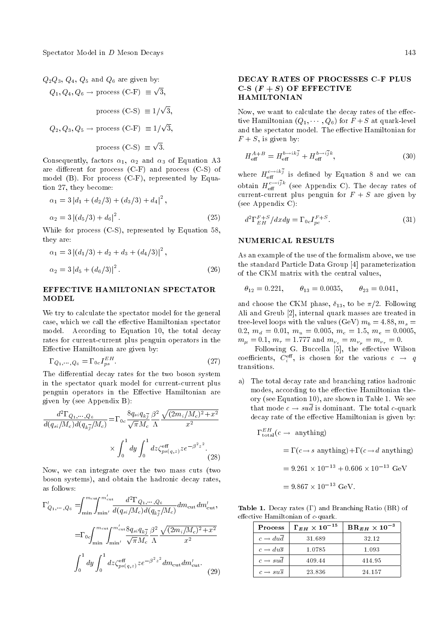# $Q_2Q_3, Q_4, Q_5$  and  $Q_6$  are given by:

$$
Q_1, Q_4, Q_6 \rightarrow
$$
 process (C-F)  $\equiv \sqrt{3}$ ,  
process (C-S)  $\equiv 1/\sqrt{3}$ ,  
 $Q_2, Q_3, Q_5 \rightarrow$  process (C-F)  $\equiv 1/\sqrt{3}$ ,  
process (C-S)  $\equiv \sqrt{3}$ .

Consequently, factors  $\alpha_1$ ,  $\alpha_2$  and  $\alpha_3$  of Equation A3 are different for process  $(C-F)$  and process  $(C-S)$  of model  $(B)$ . For process  $(C-F)$ , represented by Equation 27, they become:

$$
\alpha_1 = 3 |d_1 + (d_2/3) + (d_3/3) + d_4|^2,
$$
  
\n
$$
\alpha_2 = 3 |(d_5/3) + d_6|^2.
$$
\n(25)

While for process (C-S), represented by Equation 58, they are:

$$
\alpha_1 = 3 |(d_1/3) + d_2 + d_3 + (d_4/3)|^2 ,
$$
  
\n
$$
\alpha_2 = 3 |d_5 + (d_6/3)|^2 .
$$
\n(26)

#### EFFECTIVE HAMILTONIAN SPECTATOR **MODEL**

We try to calculate the spectator model for the general case, which we call the effective Hamiltonian spectator model. According to Equation 10, the total decay rates for current-current plus penguin operators in the Effective Hamiltonian are given by:

$$
\Gamma_{Q_1,\cdots,Q_6} = \Gamma_{0c} I_{ps}^{EH}.
$$
\n(27)

The differential decay rates for the two boson system in the spectator quark model for current-current plus penguin operators in the Effective Hamiltonian are given by (see Appendix B):

$$
\frac{d^2 \Gamma_{Q_1, \dots, Q_6}}{d(q_{si}/M_c)d(q_{k\bar{j}}/M_c)} = \Gamma_{0c} \frac{8q_{si}q_{k\bar{j}}}{\sqrt{\pi}M_c} \frac{\beta^2}{\Lambda} \frac{\sqrt{(2m_i/M_c)^2 + x^2}}{x^2} \times \int_0^1 dy \int_0^1 dz \zeta_{ps(q,z)}^{\text{eff}} z e^{-\beta^2 z^2}.
$$
\n(28)

Now, we can integrate over the two mass cuts (two boson systems), and obtain the hadronic decay rates, as follows:

$$
\Gamma'_{Q_1,\dots,Q_6} = \int_{\min}^{m_{\text{cut}}} \int_{\min'}^{m_{\text{cut}}'} \frac{d^2 \Gamma_{Q_1,\dots,Q_6}}{d(q_{si}/M_c)d(q_{k\bar{j}}/M_c)} dm_{\text{cut}} dm_{\text{cut}}',
$$

$$
= \Gamma_{0c} \int_{\min'}^{m_{\text{cut}}} \int_{\min'}^{m_{\text{cut}}'} \frac{8q_{si}q_{k\bar{j}}}{\sqrt{\pi}M_c} \frac{\beta^2}{\Lambda} \frac{\sqrt{(2m_i/M_c)^2 + x^2}}{x^2}
$$

$$
\int_0^1 dy \int_0^1 dz \zeta_{ps(q,z)}^{\text{eff}} z e^{-\beta^2 z^2} dm_{\text{cut}} dm_{\text{cut}}'. \tag{29}
$$

#### DECAY RATES OF PROCESSES C-F PLUS C-S  $(F + S)$  OF EFFECTIVE HAMILTONIAN

Now, we want to calculate the decay rates of the effective Hamiltonian  $(Q_1, \dots, Q_6)$  for  $F + S$  at quark-level and the spectator model. The effective Hamiltonian for  $F + S$ , is given by:

$$
H_{\text{eff}}^{A+B} = H_{\text{eff}}^{b \to ik\bar{j}} + H_{\text{eff}}^{b \to i\bar{j}k},\tag{30}
$$

where  $H_{\text{eff}}^{c \rightarrow ikj}$  is defined by Equation 8 and we can obtain  $H_{\text{eff}}^{c \to ijk}$  (see Appendix C). The decay rates of current-current plus penguin for  $F + S$  are given by (see Appendix C):

$$
d^2\Gamma_{EH}^{F+S}/dxdy = \Gamma_{0c}I_{pc}^{F+S}.
$$
\n(31)

#### NUMERICAL RESULTS

As an example of the use of the formalism above, we use the standard Particle Data Group [4] parameterization of the CKM matrix with the central values,

$$
\theta_{12}=0.221, \qquad \theta_{13}=0.0035, \qquad \theta_{23}=0.041,
$$

and choose the CKM phase,  $\delta_{13}$ , to be  $\pi/2$ . Following Ali and Greub [2], internal quark masses are treated in tree-level loops with the values (GeV)  $m_b = 4.88$ ,  $m_s =$ 0.2,  $m_d = 0.01$ ,  $m_u = 0.005$ ,  $m_c = 1.5$ ,  $m_e = 0.0005$ ,  $m_{\mu} = 0.1, m_{\tau} = 1.777$  and  $m_{\nu_e} = m_{\nu_{\mu}} = m_{\nu_{\tau}} = 0.$ 

Following G. Buccella [5], the effective Wilson coefficients,  $C_i^{\text{eff}}$ , is chosen for the various  $c \rightarrow q$ transitions.

a) The total decay rate and branching ratios hadronic modes, according to the effective Hamiltonian theory (see Equation 10), are shown in Table 1. We see that mode  $c \rightarrow su\overline{d}$  is dominant. The total c-quark decay rate of the effective Hamiltonian is given by:

$$
\Gamma_{\text{total}}^{EH}(c \to \text{ anything})
$$
  
=  $\Gamma(c \to s \text{ anything}) + \Gamma(c \to d \text{ anything})$   
= 9.261 × 10<sup>-13</sup> + 0.606 × 10<sup>-13</sup> GeV  
= 9.867 × 10<sup>-13</sup> GeV.

Table 1. Decay rates  $(\Gamma)$  and Branching Ratio (BR) of effective Hamiltonian of  $c$ -quark.

| <b>Process</b>                   | $\Gamma_{EH}$ $\times$ $10^{-15}$ | $\text{BR}_{EH} \times 10^{-3}$ |
|----------------------------------|-----------------------------------|---------------------------------|
| $c \rightarrow dud$              | 31.689                            | 32.12                           |
| $c \rightarrow du\overline{s}$   | 1.0785                            | 1.093                           |
| $c \rightarrow sud$              | 409.44                            | 414.95                          |
| $c \rightarrow s u \overline{s}$ | 23.836                            | 24 157                          |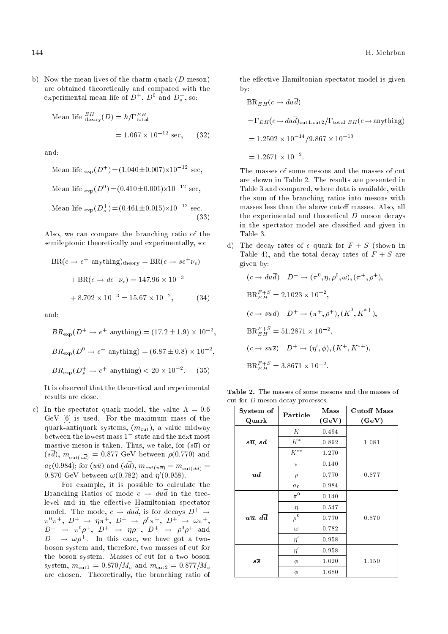b) Now the mean lives of the charm quark  $(D \text{ meson})$ are obtained theoretically and compared with the experimental mean life of  $D^{\pm}$ ,  $D^0$  and  $D_s^+$ , so:

Mean life 
$$
_{\text{theory}}^{EH}(D) = \hbar / \Gamma_{\text{total}}^{EH}
$$
  
= 1.067 × 10<sup>-12</sup> sec, (32)

and:

Mean life 
$$
_{exp}(D^{+}) = (1.040 \pm 0.007) \times 10^{-12}
$$
 sec,  
\nMean life  $_{exp}(D^{0}) = (0.410 \pm 0.001) \times 10^{-12}$  sec,  
\nMean life  $_{exp}(D_{s}^{+}) = (0.461 \pm 0.015) \times 10^{-12}$  sec. (33)

Also, we can compare the branching ratio of the semileptonic theoretically and experimentally, so:

$$
BR(c \to e^{+} \text{ anything})_{\text{theory}} = BR(c \to se^{+} \nu_{e})
$$

$$
+ BR(c \to de^{+} \nu_{e}) = 147.96 \times 10^{-3}
$$

$$
+ 8.702 \times 10^{-3} = 15.67 \times 10^{-2}, \qquad (34)
$$

and:

$$
BR_{\rm exp}(D^+ \to e^+ \text{ anything}) = (17.2 \pm 1.9) \times 10^{-2},
$$
  

$$
BR_{\rm exp}(D^0 \to e^+ \text{ anything}) = (6.87 \pm 0.8) \times 10^{-2},
$$
  

$$
BR_{\rm exp}(D_s^+ \to e^+ \text{ anything}) < 20 \times 10^{-2}. \tag{35}
$$

It is observed that the theoretical and experimental results are close.

c) In the spectator quark model, the value  $\Lambda = 0.6$ GeV [6] is used. For the maximum mass of the quark-antiquark systems,  $(m_{\text{cut}})$ , a value midway between the lowest mass  $1<sup>-</sup>$  state and the next most massive meson is taken. Thus, we take, for  $(s\overline{u})$  or  $(s\bar{d})$ ,  $m_{\text{cut}(u\bar{d})} = 0.877 \text{ GeV}$  between  $\rho(0.770)$  and  $a_0(0.984)$ ; for  $(u\overline{u})$  and  $(d\overline{d})$ ,  $m_{cut(u\overline{u})} = m_{cut(d\overline{d})}$ 0.870 GeV between  $\omega(0.782)$  and  $\eta'(0.958)$ .

For example, it is possible to calculate the Branching Ratios of mode  $c \rightarrow du\overline{d}$  in the treelevel and in the effective Hamiltonian spectator model. The mode,  $c \rightarrow du\overline{d}$ , is for decays  $D^+ \rightarrow$  $\pi^0 \pi^+ , \,\, D^+ \,\, \rightarrow \,\, \eta \pi^+ , \,\, D^+ \,\, \rightarrow \,\, \rho^0 \pi^+ , \,\, D^+ \,\, \rightarrow \,\, \omega \pi^+ ,$  $D^+$   $\;\rightarrow$   $\; \pi^0 \rho^+ , \;\; D^+ \;\rightarrow \;\eta \rho^+ , \;\; D^+ \;\rightarrow \;\; \rho^0 \rho^+ \;\; {\rm and}$  $D^+ \rightarrow \omega \rho^+$ . In this case, we have got a twoboson system and, therefore, two masses of cut for the boson system. Masses of cut for a two boson system,  $m_{\text{cut1}} = 0.870/M_c$  and  $m_{\text{cut2}} = 0.877/M_c$ are chosen. Theoretically, the branching ratio of the effective Hamiltonian spectator model is given by:

$$
BR_{EH}(c \to dud)
$$
  
=  $\Gamma_{EH}(c \to du\bar{d})_{\text{cut1},\text{cut2}} / \Gamma_{\text{total EH}}(c \to \text{anything})$   
= 1.2502 × 10<sup>-14</sup> / 9.867 × 10<sup>-13</sup>  
= 1.2671 × 10<sup>-2</sup>.

The masses of some mesons and the masses of cut are shown in Table 2. The results are presented in Table 3 and compared, where data is available, with the sum of the branching ratios into mesons with masses less than the above cutoff masses. Also, all the experimental and theoretical D meson decays in the spectator model are classied and given in Table 3.

d) The decay rates of c quark for  $F + S$  (shown in Table 4), and the total decay rates of  $F + S$  are given by:

$$
(c \to du\overline{d}) \quad D^+ \to (\pi^0, \eta, \rho^0, \omega), (\pi^+, \rho^+),
$$
  
\n
$$
BR_{EH}^{F+S} = 2.1023 \times 10^{-2},
$$
  
\n
$$
(c \to su\overline{d}) \quad D^+ \to (\pi^+, \rho^+), (\overline{K}^0, \overline{K}^{*+}),
$$
  
\n
$$
BR_{EH}^{F+S} = 51.2871 \times 10^{-2},
$$
  
\n
$$
(c \to su\overline{s}) \quad D^+ \to (\eta', \phi), (K^+, K^{*+}),
$$
  
\n
$$
BR_{EH}^{F+S} = 3.8671 \times 10^{-2}.
$$

Table 2. The masses of some mesons and the masses of cut for D meson decay processes.

| System of                         | Particle       | Mass  | <b>Cutoff Mass</b> |
|-----------------------------------|----------------|-------|--------------------|
| Quark                             |                | (GeV) | (GeV)              |
|                                   | Κ              | 0.494 |                    |
| $s\overline{u},\,s\overline{d}$   | $K^*$          | 0.892 | 1.081              |
|                                   | $K^{\ast\ast}$ | 1.270 |                    |
|                                   | $\pi$          | 0.140 |                    |
| $u\overline{d}$                   | $\rho$         | 0.770 | 0.877              |
|                                   | $a_0$          | 0.984 |                    |
|                                   | $\pi^0$        | 0.140 |                    |
|                                   | $\eta$         | 0.547 |                    |
| $u\overline{u}$ , $d\overline{d}$ | $\rho^0$       | 0.770 | 0.870              |
|                                   | $\omega$       | 0.782 |                    |
|                                   | $\eta'$        | 0.958 |                    |
|                                   | $\eta'$        | 0.958 |                    |
| $s\overline{s}$                   | $\phi$         | 1.020 | 1.150              |
|                                   | φ              | 1.680 |                    |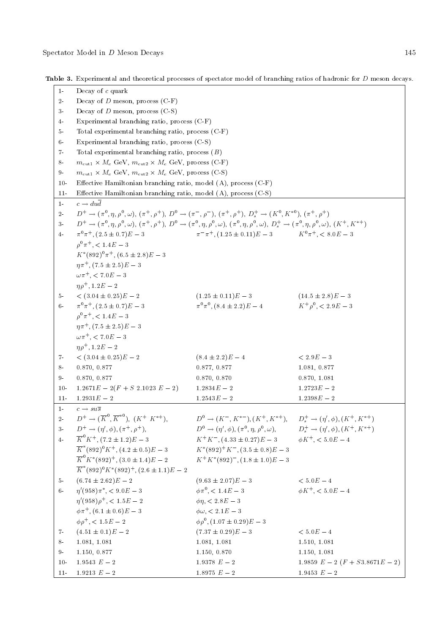Table 3. Experimental and theoretical processes of spectator model of branching ratios of hadronic for D meson decays.

| $1-$  | Decay of $c$ quark                                                                                                                                                                     |                                                                                      |                                          |  |  |  |
|-------|----------------------------------------------------------------------------------------------------------------------------------------------------------------------------------------|--------------------------------------------------------------------------------------|------------------------------------------|--|--|--|
| $2 -$ | Decay of $D$ meson, process $(C-F)$                                                                                                                                                    |                                                                                      |                                          |  |  |  |
| $3-$  | Decay of $D$ meson, process $(C-S)$                                                                                                                                                    |                                                                                      |                                          |  |  |  |
| $4-$  | Experimental branching ratio, process (C-F)                                                                                                                                            |                                                                                      |                                          |  |  |  |
| $5-$  | Total experimental branching ratio, process (C-F)                                                                                                                                      |                                                                                      |                                          |  |  |  |
| $6-$  | Experimental branching ratio, process (C-S)                                                                                                                                            |                                                                                      |                                          |  |  |  |
| $7-$  | Total experimental branching ratio, process $(B)$                                                                                                                                      |                                                                                      |                                          |  |  |  |
| 8-    | $m_{\text{cut1}} \times M_c$ GeV, $m_{\text{cut2}} \times M_c$ GeV, process (C-F)                                                                                                      |                                                                                      |                                          |  |  |  |
| $9-$  | $m_{\text{cut1}} \times M_c$ GeV, $m_{\text{cut2}} \times M_c$ GeV, process (C-S)                                                                                                      |                                                                                      |                                          |  |  |  |
| $10-$ | Effective Hamiltonian branching ratio, model (A), process (C-F)                                                                                                                        |                                                                                      |                                          |  |  |  |
| $11-$ | Effective Hamiltonian branching ratio, model (A), process (C-S)                                                                                                                        |                                                                                      |                                          |  |  |  |
| $1-$  | $c \rightarrow du\overline{d}$                                                                                                                                                         |                                                                                      |                                          |  |  |  |
| $2 -$ | $D^+ \to (\pi^0, \eta, \rho^0, \omega), (\pi^+, \rho^+), D^0 \to (\pi^-, \rho^+), (\pi^+, \rho^+), D^+_s \to (K^0, K^{*0}), (\pi^+, \rho^+)$                                           |                                                                                      |                                          |  |  |  |
| $3-$  | $D^+ \to (\pi^0, \eta, \rho^0, \omega), (\pi^+, \rho^+), D^0 \to (\pi^0, \eta, \rho^0, \omega), (\pi^0, \eta, \rho^0, \omega), D^+_s \to (\pi^0, \eta, \rho^0, \omega), (K^+, K^{*+})$ |                                                                                      |                                          |  |  |  |
| $4-$  | $\pi^{0}\pi^{+}$ , $(2.5 \pm 0.7)E - 3$                                                                                                                                                | $\pi^{-} \pi^{+}$ , $(1.25 \pm 0.11)E - 3$ $K^{0} \pi^{+}$ , $< 8.0E - 3$            |                                          |  |  |  |
|       | $\rho^0 \pi^+$ , < 1.4E - 3                                                                                                                                                            |                                                                                      |                                          |  |  |  |
|       | $K^*(892)^0 \pi^+, (6.5 \pm 2.8)E - 3$                                                                                                                                                 |                                                                                      |                                          |  |  |  |
|       | $\eta \pi^+$ , $(7.5 \pm 2.5)E - 3$                                                                                                                                                    |                                                                                      |                                          |  |  |  |
|       | $\omega \pi^+$ , < 7.0 $E - 3$                                                                                                                                                         |                                                                                      |                                          |  |  |  |
|       | $n\rho^+$ , 1.2 $E-2$                                                                                                                                                                  |                                                                                      |                                          |  |  |  |
| $5 -$ | $<$ (3.04 $\pm$ 0.25) $E-2$                                                                                                                                                            | $(1.25 \pm 0.11)E - 3$                                                               | $(14.5 \pm 2.8)E - 3$                    |  |  |  |
| $6 -$ | $\pi^{0}\pi^{+}$ , $(2.5\pm0.7)E-3$                                                                                                                                                    | $\pi^{0}\pi^{0}$ , $(8.4 \pm 2.2)E - 4$                                              | $K^+ \rho^0$ , $\lt 2.9E - 3$            |  |  |  |
|       | $\rho^0 \pi^+$ , < 1.4E - 3                                                                                                                                                            |                                                                                      |                                          |  |  |  |
|       | $\eta \pi^+$ , $(7.5 \pm 2.5)E - 3$                                                                                                                                                    |                                                                                      |                                          |  |  |  |
|       | $\omega \pi^+$ , < 7.0 $E - 3$                                                                                                                                                         |                                                                                      |                                          |  |  |  |
|       | $\eta \rho^+$ , 1.2 $E-2$                                                                                                                                                              |                                                                                      |                                          |  |  |  |
| 7-    | $<$ (3.04 $\pm$ 0.25) $E-2$                                                                                                                                                            | $(8.4 \pm 2.2)E - 4$                                                                 | $< 2.9E - 3$                             |  |  |  |
| 8-    | 0.870, 0.877                                                                                                                                                                           | 0.877, 0.877                                                                         | 1.081, 0.877                             |  |  |  |
| $9-$  | 0.870, 0.877                                                                                                                                                                           | 0.870, 0.870                                                                         | 0.870, 1.081                             |  |  |  |
| $10-$ | $1.2671E - 2(F + S\ 2.1023E - 2)$                                                                                                                                                      | $1.2834E - 2$                                                                        | $1.2723E - 2$                            |  |  |  |
| $11-$ | $1.2931E - 2$                                                                                                                                                                          | $1.2543E - 2$                                                                        | $1.2398E - 2$                            |  |  |  |
| $1 -$ | $c \rightarrow s u \overline{s}$                                                                                                                                                       |                                                                                      |                                          |  |  |  |
| $2 -$ | $D^+ \to (\overline{K}^0, \overline{K}^{*0}), \ (K^+ \ K^{*+}),$                                                                                                                       | $D^0 \to (K^-, K^{*-}), (K^+, K^{*+}), \quad D_s^+ \to (\eta', \phi), (K^+, K^{*+})$ |                                          |  |  |  |
| $3-$  | $D^+ \to (\eta', \phi), (\pi^+, \rho^+),$                                                                                                                                              | $D^0 \to (\eta', \phi), (\pi^0, \eta, \rho^0, \omega),$                              | $D_s^+ \to (\eta', \phi), (K^+, K^{*+})$ |  |  |  |
| $4-$  | $\overline{K}^0 K^+$ , $(7.2 \pm 1.2)E - 3$                                                                                                                                            | $K^+K^-$ , $(4.33 \pm 0.27)E - 3$ $\phi K^+$ , $\lt 5.0E - 4$                        |                                          |  |  |  |
|       | $\overline{K}^*(892)^0 K^+, (4.2 \pm 0.5)E - 3$                                                                                                                                        | $K^*(892)^+K^-$ , $(3.5 \pm 0.8)E - 3$                                               |                                          |  |  |  |
|       | $\overline{K}^{0} K^{*}(892)^{+}$ , $(3.0 \pm 1.4)E - 2$                                                                                                                               | $K^+K^*(892)^-$ , $(1.8 \pm 1.0)E-3$                                                 |                                          |  |  |  |
|       | $\overline{K}^*(892)^0 K^*(892)^+$ , $(2.6 \pm 1.1)E - 2$                                                                                                                              |                                                                                      |                                          |  |  |  |
| $5 -$ | $(6.74 \pm 2.62)E - 2$                                                                                                                                                                 | $(9.63 \pm 2.07)E - 3$                                                               | $< 5.0E - 4$                             |  |  |  |
| $6-$  | $\eta'(958)\pi^*, < 9.0E-3$                                                                                                                                                            | $\phi \pi^0$ , < 1.4 $E-3$                                                           | $\phi K^{+}$ , < 5.0 $E - 4$             |  |  |  |
|       | $\eta'(958)\rho^+$ , < $1.5E-2$                                                                                                                                                        | $\phi \eta, < 2.8E - 3$                                                              |                                          |  |  |  |
|       | $\phi \pi^+$ , $(6.1 \pm 0.6)E - 3$                                                                                                                                                    | $\phi \omega$ , $< 2.1E - 3$                                                         |                                          |  |  |  |
|       | $\phi \rho^+$ , < 1.5E - 2                                                                                                                                                             | $\phi \rho^0$ , $(1.07 \pm 0.29)E - 3$                                               |                                          |  |  |  |
| $7 -$ | $(4.51 \pm 0.1)E - 2$                                                                                                                                                                  | $(7.37 \pm 0.29)E - 3$                                                               | $< 5.0E - 4$                             |  |  |  |
| $8-$  | 1.081, 1.081                                                                                                                                                                           | 1.081, 1.081                                                                         | 1.510, 1.081                             |  |  |  |
| 9.    | 1.150, 0.877                                                                                                                                                                           | 1.150, 0.870                                                                         | 1.150, 1.081                             |  |  |  |
| $10-$ | 1.9543 ${\cal E}=2$                                                                                                                                                                    | $1.9378\ E-2$                                                                        | 1.9859 $E-2$ $(F + S3.8671E-2)$          |  |  |  |
| $11-$ | 1.9213 ${\cal E}-2$                                                                                                                                                                    | 1.8975 $\cal E-2$                                                                    | 1.9453 $E-2$                             |  |  |  |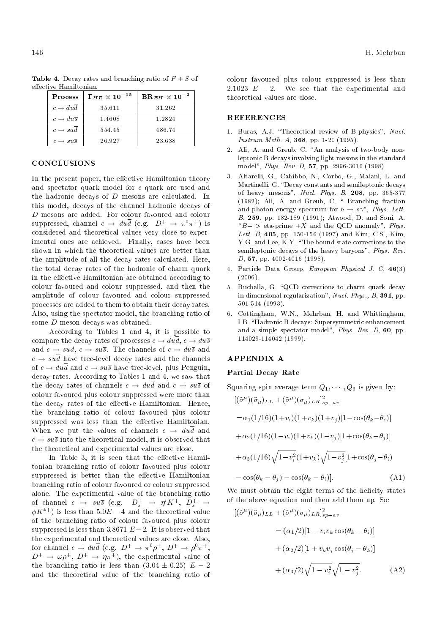| Process                          | $\Gamma_{HE} \times 10^{-15}$ | ${\rm BR}_{EH} \times 10^{-2}$ |
|----------------------------------|-------------------------------|--------------------------------|
| $c \rightarrow dud$              | 35.611                        | 31.262                         |
| $c \rightarrow du\overline{s}$   | 1.4608                        | 1 2824                         |
| $c \rightarrow su\bar{d}$        | 554.45                        | 486.74                         |
| $c \rightarrow s u \overline{s}$ | 26.927                        | 23.638                         |

**Table 4.** Decay rates and branching ratio of  $F + S$  of effective Hamiltonian.

#### **CONCLUSIONS**

In the present paper, the effective Hamiltonian theory and spectator quark model for c quark are used and the hadronic decays of D mesons are calculated. In this model, decays of the channel hadronic decays of D mesons are added. For colour favoured and colour suppressed, channel  $c \to du \overline{d}$  (e.g.  $D^+ \to \pi^0 \pi^+$ ) is considered and theoretical values very close to experimental ones are achieved. Finally, cases have been shown in which the theoretical values are better than the amplitude of all the decay rates calculated. Here, the total decay rates of the hadronic of charm quark in the effective Hamiltonian are obtained according to colour favoured and colour suppressed, and then the amplitude of colour favoured and colour suppressed processes are added to them to obtain their decay rates. Also, using the spectator model, the branching ratio of some D meson decays was obtained.

According to Tables 1 and 4, it is possible to compare the decay rates of processes  $c \rightarrow du\overline{d}$ ,  $c \rightarrow du\overline{s}$ and  $c \rightarrow su\overline{d}$ ,  $c \rightarrow su\overline{s}$ . The channels of  $c \rightarrow du\overline{s}$  and  $c \rightarrow su\overline{d}$  have tree-level decay rates and the channels of  $c \rightarrow du\overline{d}$  and  $c \rightarrow su\overline{s}$  have tree-level, plus Penguin, decay rates. According to Tables 1 and 4, we saw that the decay rates of channels  $c \rightarrow du\overline{d}$  and  $c \rightarrow su\overline{s}$  of colour favoured plus colour suppressed were more than the decay rates of the effective Hamiltonian. Hence, the branching ratio of colour favoured plus colour suppressed was less than the effective Hamiltonian. When we put the values of channels  $c \rightarrow du\overline{d}$  and  $c \rightarrow s u \bar{s}$  into the theoretical model, it is observed that the theoretical and experimental values are close.

In Table 3, it is seen that the effective Hamiltonian branching ratio of colour favoured plus colour suppressed is better than the effective Hamiltonian branching ratio of colour favoured or colour suppressed alone. The experimental value of the branching ratio of channel  $c \rightarrow su\bar{s}$  (e.g.  $D_s^+ \rightarrow \eta' K^+$ ,  $D_s^+ \rightarrow$  $\phi K^{*+}$ ) is less than 5.0E – 4 and the theoretical value of the branching ratio of colour favoured plus colour suppressed is less than 3.8671  $E-2$ . It is observed that the experimental and theoretical values are close. Also, for channel  $c \to du \overline{d}$  (e.g.  $D^+ \to \pi^0 \rho^+, D^+ \to \rho^0 \pi^+,$  $D^+ \rightarrow \omega \rho^+, D^+ \rightarrow \eta \pi^+$ , the experimental value of the branching ratio is less than  $(3.04 \pm 0.25)$   $E - 2$ and the theoretical value of the branching ratio of

colour favoured plus colour suppressed is less than 2.1023  $E - 2$ . We see that the experimental and theoretical values are close.

#### REFERENCES

- 1. Buras, A.J. \Theoretical review of B-physics", Nucl. Instrum Meth. A, 368, pp. 1-20 (1995).
- 2. Ali, A. and Greub, C. "An analysis of two-body nonleptonic B decays involving light mesons in the standard model", Phys. Rev. D, 57, pp. 2996-3016 (1998).
- 3. Altarelli, G., Cabibbo, N., Corbo, G., Maiani, L. and Martinelli, G. "Decay constants and semileptonic decays of heavy mesons", Nucl. Phys. B, 208, pp. 365-377 (1982); Ali, A. and Greub, C. \ Branching fraction and photon energy spectrum for  $b \rightarrow s\gamma$ ", Phys. Lett. B, 259, pp. 182-189 (1991); Atwood, D. and Soni, A. " $B - >$  eta-prime  $+X$  and the QCD anomaly", Phys. Lett. B, 405, pp. 150-156 (1997) and Kim, C.S., Kim, Y.G. and Lee, K.Y. "The bound state corrections to the semileptonic decays of the heavy baryons", Phys. Rev. D, 57, pp. 4002-4016 (1998).
- 4. Particle Data Group, European Physical J. C, 46(3) (2006).
- 5. Buchalla, G. "QCD corrections to charm quark decay in dimensional regularization", Nucl. Phys., B, 391, pp. 501-514 (1993).
- 6. Cottingham, W.N., Mehrban, H. and Whittingham, I.B. "Hadronic B decays: Supersymmetric enhancement and a simple spectator model", Phys. Rev. D, 60, pp. 114029-114042 (1999).

#### APPENDIX A

#### Partial Decay Rate

Squaring spin average term  $Q_1, \dots, Q_6$  is given by:

$$
[(\tilde{\sigma}^{\mu})(\tilde{\sigma}_{\mu})_{LL} + (\tilde{\sigma}^{\mu})(\sigma_{\mu})_{LR}]_{sp-av}^{2}
$$
  
\n
$$
= \alpha_{1}(1/16)(1+v_{i})(1+v_{k})(1+v_{j})[1-\cos(\theta_{k}-\theta_{i})]
$$
  
\n
$$
+ \alpha_{2}(1/16)(1-v_{i})(1+v_{k})(1-v_{j})[1+\cos(\theta_{k}-\theta_{j})]
$$
  
\n
$$
+ \alpha_{3}(1/16)\sqrt{1-v_{i}^{2}}(1+v_{k})\sqrt{1-v_{j}^{2}}[1+\cos(\theta_{j}-\theta_{i})]
$$
  
\n
$$
- \cos(\theta_{k}-\theta_{j}) - \cos(\theta_{k}-\theta_{i})].
$$
 (A1)

We must obtain the eight terms of the helicity states of the above equation and then add them up. So:

$$
[(\tilde{\sigma}^{\mu})(\tilde{\sigma}_{\mu})_{LL} + (\tilde{\sigma}^{\mu})(\sigma_{\mu})_{LR}]_{sp-av}^{2}
$$
  

$$
= (\alpha_{1}/2)[1 - v_{i}v_{k}\cos(\theta_{k} - \theta_{i})]
$$

$$
+ (\alpha_{2}/2)[1 + v_{k}v_{j}\cos(\theta_{j} - \theta_{k})]
$$

$$
+ (\alpha_{3}/2)\sqrt{1 - v_{i}^{2}}\sqrt{1 - v_{j}^{2}}.
$$
(A2)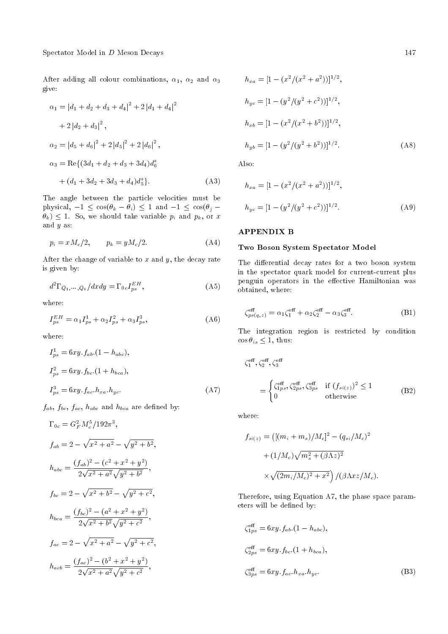After adding all colour combinations,  $\alpha_1$ ,  $\alpha_2$  and  $\alpha_3$ give:

$$
\alpha_1 = |d_1 + d_2 + d_3 + d_4|^2 + 2|d_1 + d_4|^2
$$
  
+ 2|d\_2 + d\_3|^2,  

$$
\alpha_2 = |d_5 + d_6|^2 + 2|d_5|^2 + 2|d_6|^2,
$$

$$
\alpha_3 = \text{Re}\{(3d_1 + d_2 + d_3 + 3d_4)d_6^*
$$

$$
+ (d_1 + 3d_2 + 3d_3 + d_4)d_5^* \}.
$$
 (A3)

The angle between the particle velocities must be physical,  $-1 \leq \cos(\theta_k - \theta_i) \leq 1$  and  $-1 \leq \cos(\theta_i \{\theta_k\} \leq 1$ . So, we should take variable  $p_i$  and  $p_k$ , or x and y as:

$$
p_i = xM_c/2, \qquad p_k = yM_c/2. \tag{A4}
$$

After the change of variable to  $x$  and  $y$ , the decay rate is given by:

$$
d^2\Gamma_{Q_1,\dots,Q_6}/dxdy = \Gamma_{0c}I_{ps}^{EH},\tag{A5}
$$

where:

$$
I_{ps}^{EH} = \alpha_1 I_{ps}^1 + \alpha_2 I_{ps}^2 + \alpha_3 I_{ps}^3,
$$
 (A6)

where:

$$
I_{ps}^{1} = 6xy.f_{ab}.(1 - h_{abc}),
$$
  
\n
$$
I_{ps}^{2} = 6xy.f_{bc}.(1 + h_{bca}),
$$
  
\n
$$
I_{ps}^{3} = 6xy.f_{ac}.h_{xa}.h_{yc}.
$$
\n(A7)

 $f_{ab}, f_{bc}, f_{ac}, h_{abc}$  and  $h_{bca}$  are defined by:

$$
\Gamma_{0c} = G_F^2 M_c^5 / 192\pi^3,
$$
  
\n
$$
f_{ab} = 2 - \sqrt{x^2 + a^2} - \sqrt{y^2 + b^2},
$$
  
\n
$$
h_{abc} = \frac{(f_{ab})^2 - (c^2 + x^2 + y^2)}{2\sqrt{x^2 + a^2}\sqrt{y^2 + b^2}},
$$
  
\n
$$
f_{bc} = 2 - \sqrt{x^2 + b^2} - \sqrt{y^2 + c^2},
$$
  
\n
$$
h_{bca} = \frac{(f_{bc})^2 - (a^2 + x^2 + y^2)}{2\sqrt{x^2 + b^2}\sqrt{y^2 + c^2}},
$$
  
\n
$$
f_{ac} = 2 - \sqrt{x^2 + a^2} - \sqrt{y^2 + c^2},
$$
  
\n
$$
h_{acb} = \frac{(f_{ac})^2 - (b^2 + x^2 + y^2)}{2\sqrt{x^2 + a^2}\sqrt{y^2 + c^2}},
$$

$$
h_{xa} = [1 - (x^2/(x^2 + a^2))]^{1/2},
$$
  
\n
$$
h_{yc} = [1 - (y^2/(y^2 + c^2))]^{1/2},
$$
  
\n
$$
h_{xb} = [1 - (x^2/(x^2 + b^2))]^{1/2},
$$
  
\n
$$
h_{yb} = [1 - (y^2/(y^2 + b^2))]^{1/2}.
$$
\n(A8)

Also:

$$
h_{xa} = [1 - (x^2/(x^2 + a^2))]^{1/2},
$$
  
\n
$$
h_{yc} = [1 - (y^2/(y^2 + c^2))]^{1/2}.
$$
\n(A9)

#### APPENDIX B

#### Two Boson System Spectator Model

The differential decay rates for a two boson system in the spectator quark model for current-current plus penguin operators in the effective Hamiltonian was obtained, where:

$$
\zeta_{ps(q,z)}^{\text{eff}} = \alpha_1 \zeta_1^{\text{eff}} + \alpha_2 \zeta_2^{\text{eff}} - \alpha_3 \zeta_3^{\text{eff}}.
$$
 (B1)

The integration region is restricted by condition  $\cos \theta_{is} \leq 1$ , thus:

$$
\zeta_1^{\text{eff}}, \zeta_2^{\text{eff}}, \zeta_3^{\text{eff}} \\
= \begin{cases}\n\zeta_{1ps}^{\text{eff}}, \zeta_{2ps}^{\text{eff}}, \zeta_{3ps}^{\text{eff}} & \text{if } (f_{si(z)})^2 \le 1 \\
0 & \text{otherwise}\n\end{cases} \tag{B2}
$$

where:

$$
f_{si(z)} = ([(m_i + m_s)/M_c]^2 - (q_{si}/M_c)^2
$$
  
+  $(1/M_c)\sqrt{m_s^2 + (\beta \Lambda z)^2}$   
 $\times \sqrt{(2m_i/M_c)^2 + x^2}) / (\beta \Lambda x z /M_c).$ 

Therefore, using Equation A7, the phase space parameters will be defined by:

$$
\zeta_{1ps}^{\text{eff}} = 6xy.f_{ab}.(1 - h_{abc}),
$$
  
\n
$$
\zeta_{2ps}^{\text{eff}} = 6xy.f_{bc}.(1 + h_{bca}),
$$
  
\n
$$
\zeta_{3ps}^{\text{eff}} = 6xy.f_{ac}.h_{xa}.h_{yc}.
$$
\n(B3)